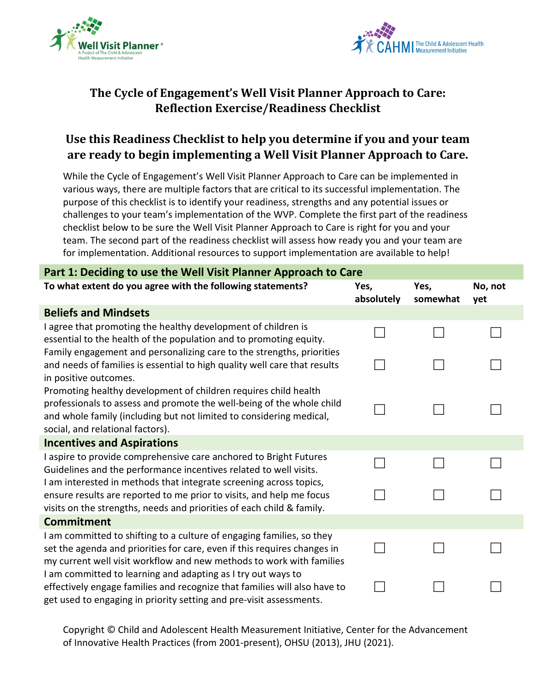



## **The Cycle of Engagement's Well Visit Planner Approach to Care: Reflection Exercise/Readiness Checklist**

## **Use this Readiness Checklist to help you determine if you and your team are ready to begin implementing a Well Visit Planner Approach to Care.**

While the Cycle of Engagement's Well Visit Planner Approach to Care can be implemented in various ways, there are multiple factors that are critical to its successful implementation. The purpose of this checklist is to identify your readiness, strengths and any potential issues or challenges to your team's implementation of the WVP. Complete the first part of the readiness checklist below to be sure the Well Visit Planner Approach to Care is right for you and your team. The second part of the readiness checklist will assess how ready you and your team are for implementation. Additional resources to support implementation are available to help!

| Part 1: Deciding to use the Well Visit Planner Approach to Care                                                                                                                                                                                     |                    |                  |                |  |  |  |  |
|-----------------------------------------------------------------------------------------------------------------------------------------------------------------------------------------------------------------------------------------------------|--------------------|------------------|----------------|--|--|--|--|
| To what extent do you agree with the following statements?                                                                                                                                                                                          | Yes,<br>absolutely | Yes,<br>somewhat | No, not<br>yet |  |  |  |  |
| <b>Beliefs and Mindsets</b>                                                                                                                                                                                                                         |                    |                  |                |  |  |  |  |
| I agree that promoting the healthy development of children is<br>essential to the health of the population and to promoting equity.                                                                                                                 |                    |                  |                |  |  |  |  |
| Family engagement and personalizing care to the strengths, priorities<br>and needs of families is essential to high quality well care that results<br>in positive outcomes.                                                                         |                    |                  |                |  |  |  |  |
| Promoting healthy development of children requires child health<br>professionals to assess and promote the well-being of the whole child<br>and whole family (including but not limited to considering medical,<br>social, and relational factors). |                    |                  |                |  |  |  |  |
| <b>Incentives and Aspirations</b>                                                                                                                                                                                                                   |                    |                  |                |  |  |  |  |
| I aspire to provide comprehensive care anchored to Bright Futures<br>Guidelines and the performance incentives related to well visits.                                                                                                              |                    |                  |                |  |  |  |  |
| I am interested in methods that integrate screening across topics,<br>ensure results are reported to me prior to visits, and help me focus<br>visits on the strengths, needs and priorities of each child & family.                                 |                    |                  |                |  |  |  |  |
| <b>Commitment</b>                                                                                                                                                                                                                                   |                    |                  |                |  |  |  |  |
| I am committed to shifting to a culture of engaging families, so they<br>set the agenda and priorities for care, even if this requires changes in<br>my current well visit workflow and new methods to work with families                           |                    |                  |                |  |  |  |  |
| I am committed to learning and adapting as I try out ways to<br>effectively engage families and recognize that families will also have to<br>get used to engaging in priority setting and pre-visit assessments.                                    |                    |                  |                |  |  |  |  |

Copyright © Child and Adolescent Health Measurement Initiative, Center for the Advancement of Innovative Health Practices (from 2001-present), OHSU (2013), JHU (2021).